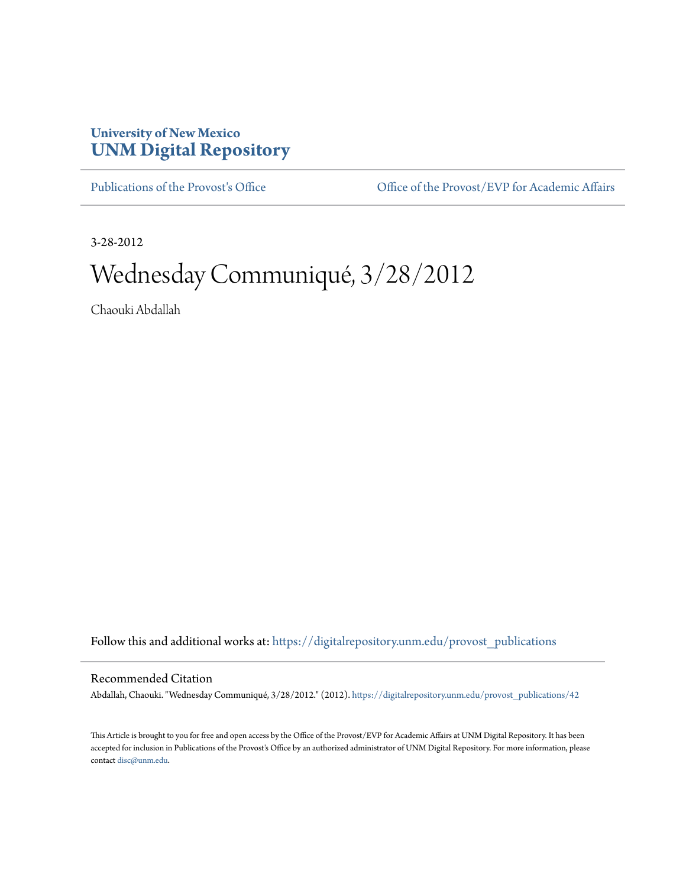## **University of New Mexico [UNM Digital Repository](https://digitalrepository.unm.edu?utm_source=digitalrepository.unm.edu%2Fprovost_publications%2F42&utm_medium=PDF&utm_campaign=PDFCoverPages)**

[Publications of the Provost's Office](https://digitalrepository.unm.edu/provost_publications?utm_source=digitalrepository.unm.edu%2Fprovost_publications%2F42&utm_medium=PDF&utm_campaign=PDFCoverPages) Office [Office of the Provost/EVP for Academic Affairs](https://digitalrepository.unm.edu/ofc_provost?utm_source=digitalrepository.unm.edu%2Fprovost_publications%2F42&utm_medium=PDF&utm_campaign=PDFCoverPages)

3-28-2012

# Wednesday Communiqué, 3/28/2012

Chaouki Abdallah

Follow this and additional works at: [https://digitalrepository.unm.edu/provost\\_publications](https://digitalrepository.unm.edu/provost_publications?utm_source=digitalrepository.unm.edu%2Fprovost_publications%2F42&utm_medium=PDF&utm_campaign=PDFCoverPages)

#### Recommended Citation

Abdallah, Chaouki. "Wednesday Communiqué, 3/28/2012." (2012). [https://digitalrepository.unm.edu/provost\\_publications/42](https://digitalrepository.unm.edu/provost_publications/42?utm_source=digitalrepository.unm.edu%2Fprovost_publications%2F42&utm_medium=PDF&utm_campaign=PDFCoverPages)

This Article is brought to you for free and open access by the Office of the Provost/EVP for Academic Affairs at UNM Digital Repository. It has been accepted for inclusion in Publications of the Provost's Office by an authorized administrator of UNM Digital Repository. For more information, please contact [disc@unm.edu.](mailto:disc@unm.edu)